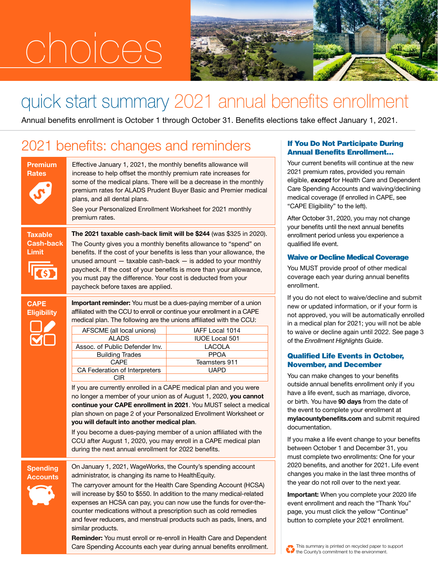# choices



# quick start summary 2021 annual benefits enrollment

Annual benefits enrollment is October 1 through October 31. Benefits elections take effect January 1, 2021.

### 2021 benefits: changes and reminders If You Do Not Participate During

|                                      | <b>Premium</b><br><b>Rates</b>     | Effective January 1, 2021, the monthly benefits allowance will<br>increase to help offset the monthly premium rate increases for<br>some of the medical plans. There will be a decrease in the month<br>premium rates for ALADS Prudent Buyer Basic and Premier med<br>plans, and all dental plans.<br>See your Personalized Enrollment Worksheet for 2021 monthly<br>premium rates.                                                                                                                                                                                                                                                                                                                                                                                                                                                                                                                          |                                                                                                   |  |
|--------------------------------------|------------------------------------|---------------------------------------------------------------------------------------------------------------------------------------------------------------------------------------------------------------------------------------------------------------------------------------------------------------------------------------------------------------------------------------------------------------------------------------------------------------------------------------------------------------------------------------------------------------------------------------------------------------------------------------------------------------------------------------------------------------------------------------------------------------------------------------------------------------------------------------------------------------------------------------------------------------|---------------------------------------------------------------------------------------------------|--|
| Taxable<br><b>Cash-back</b><br>Limit |                                    | The 2021 taxable cash-back limit will be \$244 (was \$325 in 20<br>The County gives you a monthly benefits allowance to "spend" or<br>benefits. If the cost of your benefits is less than your allowance, t<br>unused amount $-$ taxable cash-back $-$ is added to your month<br>paycheck. If the cost of your benefits is more than your allowanc<br>you must pay the difference. Your cost is deducted from your<br>paycheck before taxes are applied.                                                                                                                                                                                                                                                                                                                                                                                                                                                      |                                                                                                   |  |
|                                      | <b>CAPE</b><br><b>Eligibility</b>  | Important reminder: You must be a dues-paying member of a unic<br>affiliated with the CCU to enroll or continue your enrollment in a CAPI<br>medical plan. The following are the unions affiliated with the CCU:<br>AFSCME (all local unions)<br><b>ALADS</b><br>Assoc. of Public Defender Inv.<br><b>Building Trades</b><br><b>CAPE</b><br>CA Federation of Interpreters<br><b>CIR</b><br>If you are currently enrolled in a CAPE medical plan and you were<br>no longer a member of your union as of August 1, 2020, you cann<br>continue your CAPE enrollment in 2021. You MUST select a me<br>plan shown on page 2 of your Personalized Enrollment Worksheet<br>you will default into another medical plan.<br>If you become a dues-paying member of a union affiliated with th<br>CCU after August 1, 2020, you may enroll in a CAPE medical pla<br>during the next annual enrollment for 2022 benefits. | IAFF Local 1014<br><b>IUOE Local 501</b><br>LACOLA<br><b>PPOA</b><br>Teamsters 911<br><b>UAPD</b> |  |
|                                      | <b>Spending</b><br><b>Accounts</b> | On January 1, 2021, WageWorks, the County's spending account<br>administrator, is changing its name to HealthEquity.<br>The carryover amount for the Health Care Spending Account (HCS<br>will increase by \$50 to \$550. In addition to the many medical-relat<br>expenses an HCSA can pay, you can now use the funds for over-t<br>counter medications without a prescription such as cold remedies                                                                                                                                                                                                                                                                                                                                                                                                                                                                                                         |                                                                                                   |  |

mium rate increases for e a decrease in the monthly er Basic and Premier medical ksheet for 2021 monthly

**I be \$244** (was \$325 in 2020). its allowance to "spend" on ess than your allowance, the — is added to your monthly s more than your allowance, is deducted from your

| AFSCME (all local unions)      | IAFF Local 1014       |
|--------------------------------|-----------------------|
| <b>ALADS</b>                   | <b>IUOE Local 501</b> |
| Assoc. of Public Defender Inv. | LACOLA                |
| <b>Building Trades</b>         | <b>PPOA</b>           |
| <b>CAPF</b>                    | Teamsters 911         |
| CA Federation of Interpreters  | <b>UAPD</b>           |
|                                |                       |

medical plan and you were August 1, 2020, you cannot 21. You MUST select a medical ized Enrollment Worksheet or you will default into another medical plan.

re Spending Account (HCSA) to the many medical-related bw use the funds for over-theion such as cold remedies and fever reducers, and menstrual products such as pads, liners, and similar products.

Reminder: You must enroll or re-enroll in Health Care and Dependent Care Spending Accounts each year during annual benefits enrollment.

## Annual Benefits Enrollment…

Your current benefits will continue at the new 2021 premium rates, provided you remain eligible, except for Health Care and Dependent Care Spending Accounts and waiving/declining medical coverage (if enrolled in CAPE, see "CAPE Eligibility" to the left).

After October 31, 2020, you may not change your benefits until the next annual benefits enrollment period unless you experience a qualified life event.

### Waive or Decline Medical Coverage

You MUST provide proof of other medical coverage each year during annual benefits enrollment.

If you do not elect to waive/decline and submit new or updated information, or if your form is not approved, you will be automatically enrolled in a medical plan for 2021; you will not be able to waive or decline again until 2022. See page 3 of the *Enrollment Highlights Guide*.

### Qualified Life Events in October, November, and December

You can make changes to your benefits outside annual benefits enrollment only if you have a life event, such as marriage, divorce, or birth. You have 90 days from the date of the event to complete your enrollment at mylacountybenefits.com and submit required documentation.

If you make a life event change to your benefits between October 1 and December 31, you must complete two enrollments: One for your 2020 benefits, and another for 2021. Life event changes you make in the last three months of the year do not roll over to the next year.

Important: When you complete your 2020 life event enrollment and reach the "Thank You" page, you must click the yellow "Continue" button to complete your 2021 enrollment.